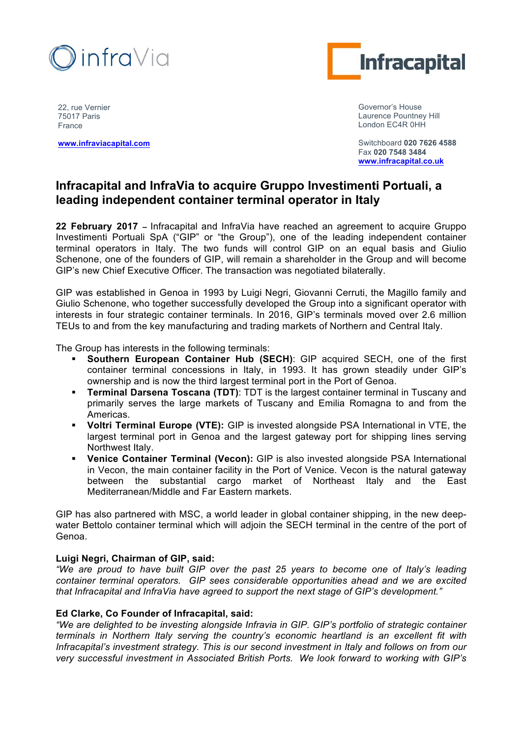



22, rue Vernier 75017 Paris France

**www.infraviacapital.com**

Governor's House Laurence Pountney Hill London EC4R 0HH

Switchboard **020 7626 4588**  Fax **020 7548 3484 www.infracapital.co.uk**

# **Infracapital and InfraVia to acquire Gruppo Investimenti Portuali, a leading independent container terminal operator in Italy**

**22 February 2017 –** Infracapital and InfraVia have reached an agreement to acquire Gruppo Investimenti Portuali SpA ("GIP" or "the Group"), one of the leading independent container terminal operators in Italy. The two funds will control GIP on an equal basis and Giulio Schenone, one of the founders of GIP, will remain a shareholder in the Group and will become GIP's new Chief Executive Officer. The transaction was negotiated bilaterally.

GIP was established in Genoa in 1993 by Luigi Negri, Giovanni Cerruti, the Magillo family and Giulio Schenone, who together successfully developed the Group into a significant operator with interests in four strategic container terminals. In 2016, GIP's terminals moved over 2.6 million TEUs to and from the key manufacturing and trading markets of Northern and Central Italy.

The Group has interests in the following terminals:

- ! **Southern European Container Hub (SECH)**: GIP acquired SECH, one of the first container terminal concessions in Italy, in 1993. It has grown steadily under GIP's ownership and is now the third largest terminal port in the Port of Genoa.
- ! **Terminal Darsena Toscana (TDT)**: TDT is the largest container terminal in Tuscany and primarily serves the large markets of Tuscany and Emilia Romagna to and from the Americas.
- ! **Voltri Terminal Europe (VTE):** GIP is invested alongside PSA International in VTE, the largest terminal port in Genoa and the largest gateway port for shipping lines serving Northwest Italy.
- ! **Venice Container Terminal (Vecon):** GIP is also invested alongside PSA International in Vecon, the main container facility in the Port of Venice. Vecon is the natural gateway between the substantial cargo market of Northeast Italy and the East Mediterranean/Middle and Far Eastern markets.

GIP has also partnered with MSC, a world leader in global container shipping, in the new deepwater Bettolo container terminal which will adjoin the SECH terminal in the centre of the port of Genoa.

# **Luigi Negri, Chairman of GIP, said:**

*"We are proud to have built GIP over the past 25 years to become one of Italy's leading container terminal operators. GIP sees considerable opportunities ahead and we are excited that Infracapital and InfraVia have agreed to support the next stage of GIP's development."*

# **Ed Clarke, Co Founder of Infracapital, said:**

*"We are delighted to be investing alongside Infravia in GIP. GIP's portfolio of strategic container terminals in Northern Italy serving the country's economic heartland is an excellent fit with Infracapital's investment strategy. This is our second investment in Italy and follows on from our very successful investment in Associated British Ports. We look forward to working with GIP's*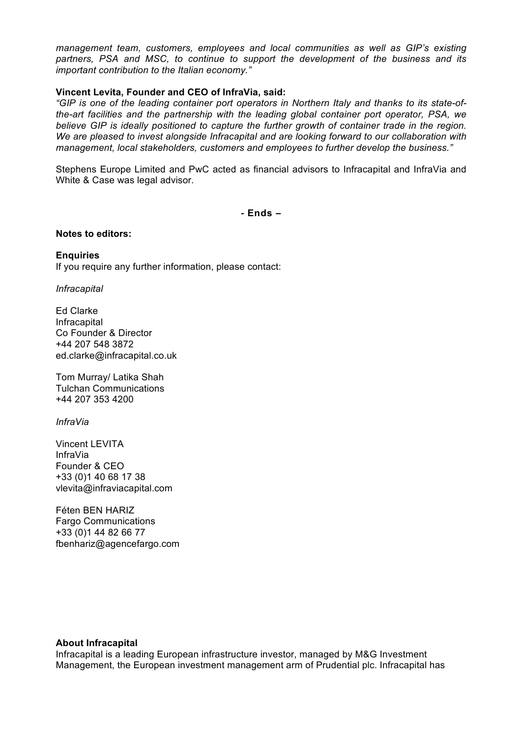*management team, customers, employees and local communities as well as GIP's existing partners, PSA and MSC, to continue to support the development of the business and its important contribution to the Italian economy."*

## **Vincent Levita, Founder and CEO of InfraVia, said:**

*"GIP is one of the leading container port operators in Northern Italy and thanks to its state-ofthe-art facilities and the partnership with the leading global container port operator, PSA, we believe GIP is ideally positioned to capture the further growth of container trade in the region. We are pleased to invest alongside Infracapital and are looking forward to our collaboration with management, local stakeholders, customers and employees to further develop the business."*

Stephens Europe Limited and PwC acted as financial advisors to Infracapital and InfraVia and White & Case was legal advisor.

**- Ends –**

#### **Notes to editors:**

**Enquiries** If you require any further information, please contact:

*Infracapital*

Ed Clarke Infracapital Co Founder & Director +44 207 548 3872 ed.clarke@infracapital.co.uk

Tom Murray/ Latika Shah Tulchan Communications +44 207 353 4200

*InfraVia*

Vincent LEVITA InfraVia Founder & CEO +33 (0)1 40 68 17 38 vlevita@infraviacapital.com

Féten BEN HARIZ Fargo Communications +33 (0)1 44 82 66 77 fbenhariz@agencefargo.com

#### **About Infracapital**

Infracapital is a leading European infrastructure investor, managed by M&G Investment Management, the European investment management arm of Prudential plc. Infracapital has